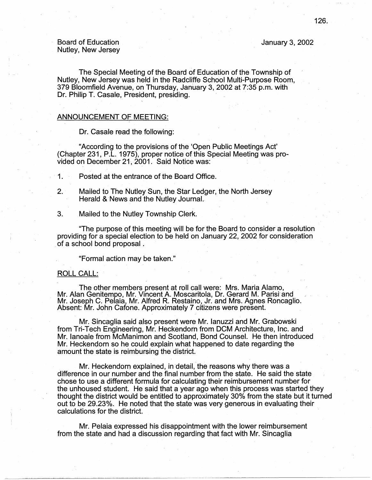January 3, 2002

The Special Meeting of the Board of Education of the Township of Nutley, New Jersey was held in the Radcliffe School Multi-Purpose Room, 379 Bloomfield Avenue, on Thursday, January 3, 2002 at 7:35 p.m. with Dr. Philip T. Casale, President, presiding.

## ANNOUNCEMENT OF MEETING:

Dr. Casale read the following:

. "According to the provisions of the 'Open Public Meetings Act' (Chapter 231, P.L. 1975), proper notice of this Special Meeting was provided on December 21, 2001. Said Notice was:

1 . Posted at the entrance of the Board Office.

2. Mailed to The Nutley Sun, the Star Ledger, the North Jersey Herald & News and the Nutley Journal.

3. Mailed to the Nutley Township Clerk.

"The purpose of this meeting will be for the Board to consider a resolution providing for a special election to be held on January 22, 2002 for consideration of a school bond proposal .

"Formal action may be taken."

## ROLL CALL:

The other members present at roll call were: Mrs. Maria Alamo, Mr. Alan Genitempo, Mr. Vincent A. Moscaritola, Dr. Gerard M. Parisi and Mr. Joseph C. Pelaia, Mr. Alfred R. Restaino, Jr. and Mrs. Agnes Roncaglio. Absent: Mr. John Catone. Approximately 7 citizens were present.

Mr. Sincaglia said also present were Mr. Ianuzzi and Mr. Grabowski from Tri-Tech Engineering, Mr.Heckendorn from DCM Architecture, Inc. and Mr. lanoale from McManimon and Scotland, Bond Counsel. He then introduced Mr. Heckendorn so he could explain what happened to date regarding the amount the state is reimbursing the district.

Mr. Heckendorn explained, in detail, the reasons why there was a difference in our number and the final number from the state. He said the state chose to use a different formula for calculating their reimbursement number for the unhoused student. He said that a year ago when this process was started they thought the district would be entitled to approximately 30% from the state but it turned out to be 29.23%. He noted that the state was very generous in evaluating their calculations for the district.

Mr. Pelaia expressed his disappointment with the lower reimbursement from the state and had a discussion regarding that fact with Mr. Sincaglia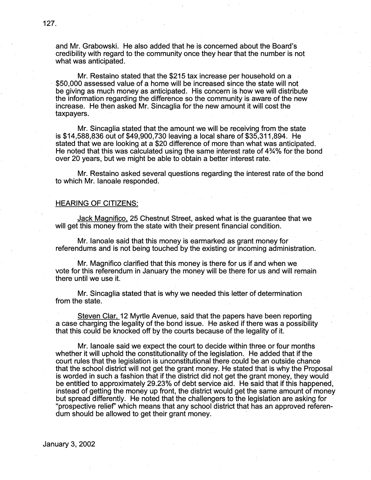and Mr. Grabowski. He also added that he is concerned about the Board's credibility with regard to the community once they hear that the number is not what was anticipated.

Mr. Restaino stated that the \$215 tax increase per household on a , \$50,000 assessed value of a home will be increased since the state will not be giving as much money as anticipated. His concern is how we will distribute the information regarding the difference so the community is aware of the new increase. He then asked Mr. Sincaglia for the new amount it will cost the taxpayers.

Mr. Sincaglia stated that the amount we will be receiving from the state is \$14,588,836 out of \$49,900,730 leaving a local share of \$35,311,894. He stated that we are looking at a \$20 difference of more than what was anticipated. He noted that this was calculated using the same interest rate of 4¾% for the bond over 20 years, but we might be able to obtain a better interest rate.

Mr. Restaino asked several questions regarding the interest rate of the bond to which Mr. lanoale responded.

## HEARING OF CITIZENS:

Jack Magnifico, 25 Chestnut Street, asked what is the guarantee that we will get this money from the state with their present financial condition.

Mr. lanoale said that this money is earmarked as grant money for referendums and is not being touched by the existing or incoming administration.

. Mr. Magnifico clarified that this .money is there for us if and when we vote for this referendum in January the money will be there for us and will remain there until we use it.

Mr. Sincaglia stated that is why we needed this letter of determination from the state.

Steven Clar, 12 Myrtle Avenue, said that the papers have been reporting a case charging the legality of the bond issue. He asked if there was a possibility that this could be knocked off by the courts because of the legality of it.

Mr. Ianoale said we expect the court to decide within three or four months whether it will uphold the constitutionality of the legislation. He added that if the court rules that the legislation is unconstitutional there could be an outside chance that the school district will not get the grant money. He stated that is Why the Proposal is worded in such a fashion that if the district did not get the grant money, they would be entitled to approximately 29.23% of debt service aid. He said that if this happened, instead of getting the money up front, the district would get the same amount of money but spread differently. He noted that the challengers to the legislation are asking for "prospective relief' which means that any school district that has an approved referendum should be allowed to get their grant money.

January 3, 2002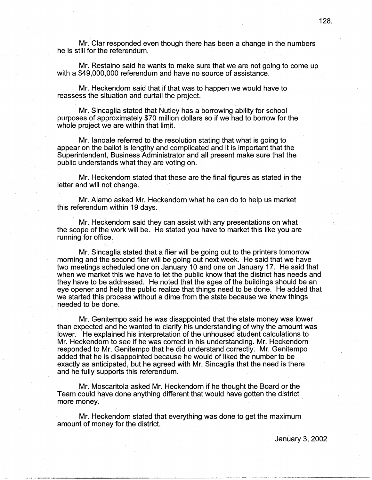Mr. Clar responded even though there has been a change in the numbers he is still for the referendum.

Mr. Restaino said he wants to make sure that we are not going to come up with a \$49,000,000 referendum and have no source of assistance.

Mr. Heckendorn said that if that was to happen we would have to reassess the situation and curtail the project.

Mr. Sincaglia stated that Nutley has a borrowing ability for school purposes of approximately \$70 million dollars so if we had to borrow for the whole project we are within that limit.

Mr. lanoale referred to the resolution stating that what is going to appear on the ballot is lengthy and complicated and it is important that the Superintendent, Business Administrator and all present make sure that the public understands what they are voting on.

Mr. Heckendorn stated that these are the final figures as stated in the letter and will not change.

Mr. Alamo asked Mr. Heckendorn what he can do to help us market this referendum within 19 days.

Mr. Heckendorn said they can assist with any presentations on what the scope of the work will be. He stated you have to market this like you are running for office.

Mr. Sincaglia stated that a flier will be going out to the printers tomorrow morning and the second flier will be going out next week. He said that we have two meetings scheduled one on January 10 and one on January 17. He said that when we market this we have to let the public know that the district has needs and they have to be addressed. He noted that the ages of the buildings should be an eye opener and help the public realize that things need to be done. He added that we started this process without a dime from the state because we knew things needed to be done.

Mr. Genitempo said he was disappointed that the state money was lower than expected and he wanted to clarify his understanding of why the amount was lower. He explained his interpretation of the unhoused student calculations to Mr. Heckendorn to see if he was correct in his understanding. Mr. Heckendorn responded to Mr. Genitempo that he did understand correctly. Mr. Genitempo added that he is disappointed because he would of liked the number to be exactly as anticipated, but he agreed with Mr. Sincaglia that the need is there and he fully supports this referendum.

Mr. Moscaritola asked Mr. Heckendorn if he thought the Board or the Team could have done anything different that would have gotten the district more money.

Mr. Heckendorn stated that everything was done to get the maximum amount of money for the district.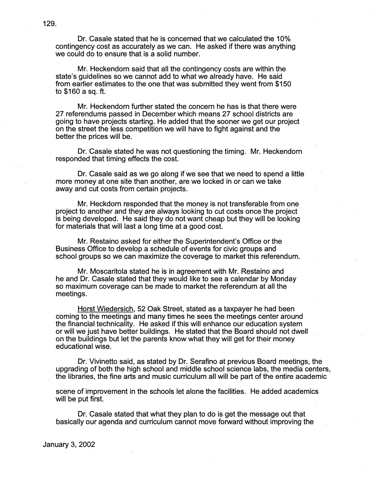Dr. Casale stated that he is concerned that we calculated the 10% contingency cost as accurately as we can. He asked if there was anything . we could do to ensure that is a solid number.

Mr. Heckendorn said that all the contingency costs are within the state's guidelines so we cannot add to what we already have. He said from earlier estimates to the one that was submitted they went from \$150 to \$160 a sq. ft.

Mr. Heckendorn further stated the concern he has is that there were 27 referendums passed in December which means 27 school districts are going to have projects starting. He added that the sooner we get our project on the street the less competition we will have to fight against and the better the prices will be.

Dr. Casale stated he was not questioning the timing. Mr. Heckendorn responded that timing effects the cost.

Dr. Casale said as we go along if we see that we need to spend a little more money at one site than another, are we locked in or can we take away and cut costs from certain projects.

Mr. Heckdorn responded that the money is not transferable from one project to another and they are always looking to cut costs once the project is being developed. He said they do. not.want cheap but they will be looking for materials that will last a long time at a good cost.

Mr. Restaino asked for either the Superintendent's Office or the Business Office to develop a schedule of events for civic groups and school groups so we can maximize the coverage to market this referendum.

Mr. Moscaritola stated he is in agreement with Mr. Restaino and he and Dr. Casale stated that they would like to see a calendar by Monday so maximum coverage can be made to market the referendum at all the meetings.

Horst Wiedersich, 52 Oak Street, stated as a taxpayer he had been coming to the meetings and many times he sees the meetings center around the financial technicality. He asked if this will enhance our education system or wi11 we just have better buildings. He stated that the Board should not dwell on the buildings but let the parents know what they will get for their money educational wise.

Dr. Vivinetto said, as stated by Dr. Serafino at previous Board meetings, the upgrading of both the high school and middle school science labs, the media centers, the libraries, the fine arts and music curriculum all will be part of the entire academic

scene of improvement in the schools let alone the facilities. He added academics will be put first.

Dr. Casale stated that what they plan to do is get the message out that basically our agenda and curriculum cannot move forward without improving the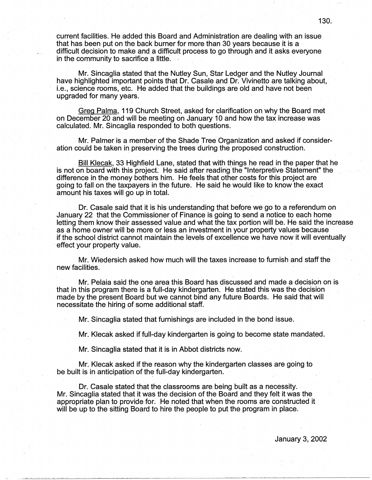current facilities. He added this Board and Administration are dealing with an issue that has been put on the back burner for more than 30 years because it is a difficult decision to make and a difficult process to go through and it asks everyone in the community to sacrifice a little.

Mr. Sincaglia stated that the Nutley Sun, Star Ledger and the Nutley Journal have highlighted important points that Dr. Casale and Dr. Vivinetto are talking about, i.e., science rooms, etc. He added that the buildings are old and have not been upgraded for many years.

Greg Palma, 119 Church Street, asked for clarification on why the Board met on December 20 and will be meeting on January 10 and how the tax increase was calculated. Mr. Sincaglia responded to both questions.

Mr. Palmer is a member of the Shade Tree Organization and asked if consideration could be taken in preserving the trees during the proposed construction.

Bill Klecak, 33 Highfield Lane, stated that with things he read in the paper that he is not on board with this project. He said after reading the "Interpretive Statement" the difference in the money bothers him. He feels that other costs for this project are going to fall on the taxpayers in the future. He said he would like to know the exact amount his taxes will go up in total.

Dr. Casale said that it is his understanding that before we go to a referendum on January 22 that the Commissioner of Finance is going to send a notice to each home letting them know their assessed value and what the tax portion will be. He said the increase as a home owner will be more or less an investment in your property values because if the school district cannot maintain the levels of excellence we have now it will eventually effect your property value.

Mr. Wiedersich asked how much will the taxes increase to furnish and staff the new facilities;

Mr. Pelaia said the one area this Board has discussed and made a decision on is that in this program there is a full-day kindergarten. He stated this was the decision made by the present Board but we cannot bind any future Boards. He said that will necessitate the hiring of some additional staff.

Mr. Sincaglia stated that furnishings are included in the bond issue.

Mr. Klecak asked if full-day kindergarten is going to become state mandated.

Mr. Sincaglia stated that it is in Abbot districts now.

Mr. Klecak asked if the reason why the kindergarten classes are going to be built is in anticipation of the full-day kindergarten.

Dr. Casale stated that the classrooms are being built as a necessity. Mr. Sincaglia stated that it was the decision of the Board and they felt it was the appropriate plan to provide for. He noted that when the rooms are constructed it will be up to the sitting Board to hire the people to put the program in place.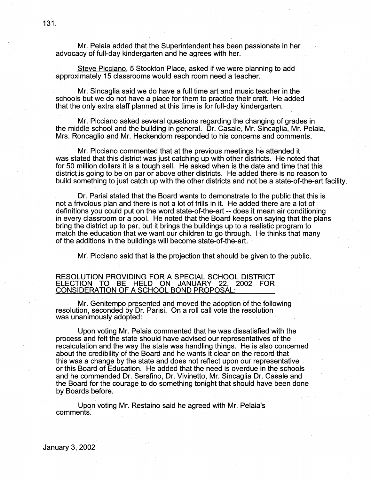Mr. Pelaia added that the Superintendent has been passionate in her advocacy of full-day kindergarten and he agrees with her.

Steve Picciano, 5 Stockton Place, asked if we were planning to add approximately 15 classrooms would each room need a teacher.

Mr. Sincaglia said we do have a full time art and music teacher in the schools but we do not have a place for them to practice their craft. He added that the only extra staff planned at this time is for full-day kindergarten.

Mr. Picciano asked several questions regarding the changing of grades in the middle school and the building in general. Dr. Casale, Mr. Sincaglia, Mr. Pelaia, Mrs. Roncaglio and Mr. Heckendorn responded to his concerns and comments.

Mr. Picciano commented that at the previous meetings he attended it was stated that this district was just catching up with other districts. He noted that for 50 million dollars it is a tough sell. He asked when is the date and time that this district is going to be on par or above other districts. He added there is no reason to build something to just catch up with the other districts and not be a state-of-the-art facility.

Dr. Parisi stated that the Board wants to demonstrate to the public that this is not a frivolous plan and there is not a lot of frills in it. He added there are a lot of definitions you could put on the word state-of-the-art -- does it mean air conditioning in every classroom or a pool. He noted that the Board keeps on saying that the plans bring the district up to par, but it brings the buildings up to a realistic program to match the education that we want our children to go through. He thinks that many of the additions in the buildings will become state-of-the-art.

Mr. Picciano said that is the projection that should be given to the public.

#### RESOLUTION PROVIDING FOR A SPECIAL SCHOOL DISTRICT ELECTION TO BE HELD ON JANUARY 22, 2002 FOR CONSIDERATION OF A SCHOOL BOND PROPOSAL:

Mr. Genitempo presented and moved the adoption of the following resolution, seconded by Dr. Parisi. On a roll call vote the resolution was unanimously adopted:

Upon voting Mr. Pelaia commented that he was dissatisfied with the· process and felt the state should have advised our representatives of the recalculation and the way the state was handling things. He is also concerned about the credibility of the Board and he wants it clear on the record that . this was a change by the state and does not reflect upon our representative or this Board of Education. He added that the need is overdue in the schools and he commended Dr. Serafino, Dr. Vivinetto, Mr. Sincaglia Dr. Casale and the Board for the courage to do something tonight that should have been done by Boards before.

Upon voting Mr. Restaino said he agreed with Mr. Pelaia's comments.

January 3, 2002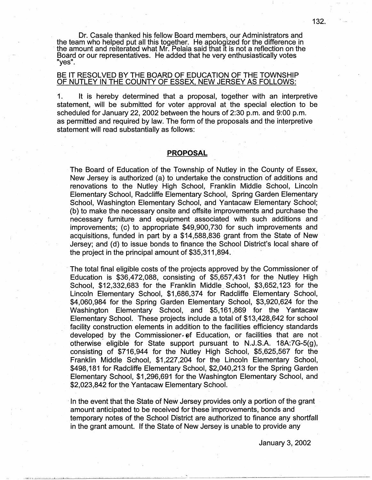Dr. Casale thanked his fellow Board members, our Administrators and the team who helped put all this together. He apologized for the difference in the amount and reiterated what Mr. Pelaia said that it is not a reflection on the Board or our representatives. He added that he very enthusiastically votes "yes".

## BE IT RESOLVED BY THE BOARD OF EDUCATION OF THE TOWNSHIP OF NUTLEY IN THE COUNTY OF ESSEX, NEW JERSEY AS FOLLOWS:

1. It is hereby determined that a proposal, together with an interpretive statement, will be submitted for voter approval at the special election to be scheduled for January 22, 2002 between the hours of 2:30 p.m. and 9:00 p.m. as permitted and required by law. The form of the proposals and the interpretive statement will read substantially as follows:

## **PROPOSAL**

The Board of Education of the Township of Nutley in the County of Essex, New Jersey is authorized (a) to undertake the construction of additions and renovations to the Nutley High School, Franklin Middle School, Lincoln Elementary School, Radcliffe Elementary School, Spring Garden Elementary School, Washington Elementary School, and Yantacaw Elementary School; (b) to make the necessary onsite and offsite improvements and purchase the necessary furniture and equipment associated with such additions and improvements; (c) to appropriate \$49,900,730 for such improvements and acquisitions, funded in part by a \$14,588,836 grant from the State of New Jersey; and (d) to issue bonds to finance the School District's local share of the project in the principal amount of \$35,311,894.

The total final eligible costs of the projects approved by the Commissioner of Education is \$36,472,088, consisting of \$5,657,431 for the Nutley High School, \$12,332,683 for the Franklin Middle\_ School, \$3,652,123 for the Lincoln Elementary School, \$1,686,374 for Radcliffe Elementary School, \$4,060,984 for the Spring Garden Elementary School, \$3,920,624 for the Washington Elementary School, and \$5,161,869 for the Yantacaw Elementary School. These projects include a total of \$13,428,642 for school facility construction elements in addition to the facilities efficiency standards developed by the Commissioner of Education, or facilities that are not. otherwise- eligible for State support pursuant to N.J.S.A. 18A:7G-5(g), consisting of \$716,944 for the Nutley High School, \$5,625,567 for the Franklin Middle School, \$1,227,204 for the Lincoln Elementary School, \$498, 181 for Radcliffe Elementary School, \$2,040,213 for the Spring Garden Elementary School, \$1,296,691 for the Washington Elementary School, and \$2,023,842 for the Yantacaw Elementary School.

In the event that the State of New Jersey provides only a portion of the grant amount anticipated to be received for these improvements, bonds and temporary notes of the School District are authorized to finance any shortfall in the grant amount. If the State of New Jersey is unable to provide any

January 3, 2002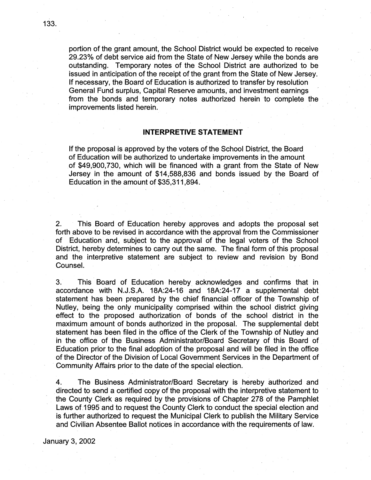portion of the grant amount, the School District would be expected to receive 29.23% of debt service aid from the State of New Jersey while the bonds are outstanding. Temporary notes of the School District are authorized to be issued in anticipation of the receipt of the grant from the State of New Jersey. If necessary, the Board of Education is authorized to transfer by resolution General Fund surplus, Capital Reserve amounts, and investment earnings from the bonds and temporary notes authorized herein to complete the improvements listed herein.

# **INTERPRETIVE STATEMENT**

If the proposal is approved by the voters of the School District, the Board of Education will be authorized to undertake improvements in the amount of \$49;900,730, which will be financed with a grant from the State of New Jersey in the amount of \$14;588,836 and bonds issued by the Board of Education in the amount of \$35,311,894.

2. This Board of Education hereby approves and adopts the proposal set forth above to be revised in accordance with the approval from the Commissioner of Education and, subject to the approval 0f the legal voters of the School District, hereby determines to carry out the same. The final form of this proposal and the interpretive statement are subject to review and revision by Bond Counsel.

3. This Board of Education hereby. acknowledges and confirms that in accordance with N.J.S.A. 18A:24-16 and 18A:24-17 a supplemental debt statement has been prepared by the chief financial officer of the Township of Nutley, being the only municipality comprised within the school district giving effect to the proposed authorization of bonds of the school district in the maximum amount of bonds authorized in the proposal. The supplemental debt statement has been filed in the office of the Clerk of the Township of Nutley and in the office of the Business Administrator/Board Secretary of this Board of Education prior to the final adoption of the proposal and will be filed in the office of the Director of the Division of Local Government Services in the Department of Community Affairs prior to the date of the special election.

4. The Business Administrator/Board Secretary is hereby authorized and directed to send a certified copy of the proposal with the interpretive statement to the County Clerk as required by the provisions of Chapter 278 of the Pamphlet Laws of 1995 and to request the County Clerk to conduct the special election and is further authorized to request the Municipal Clerk to publish the Military Service and Civilian Absentee Ballot notices in accordance with the requirements of law.